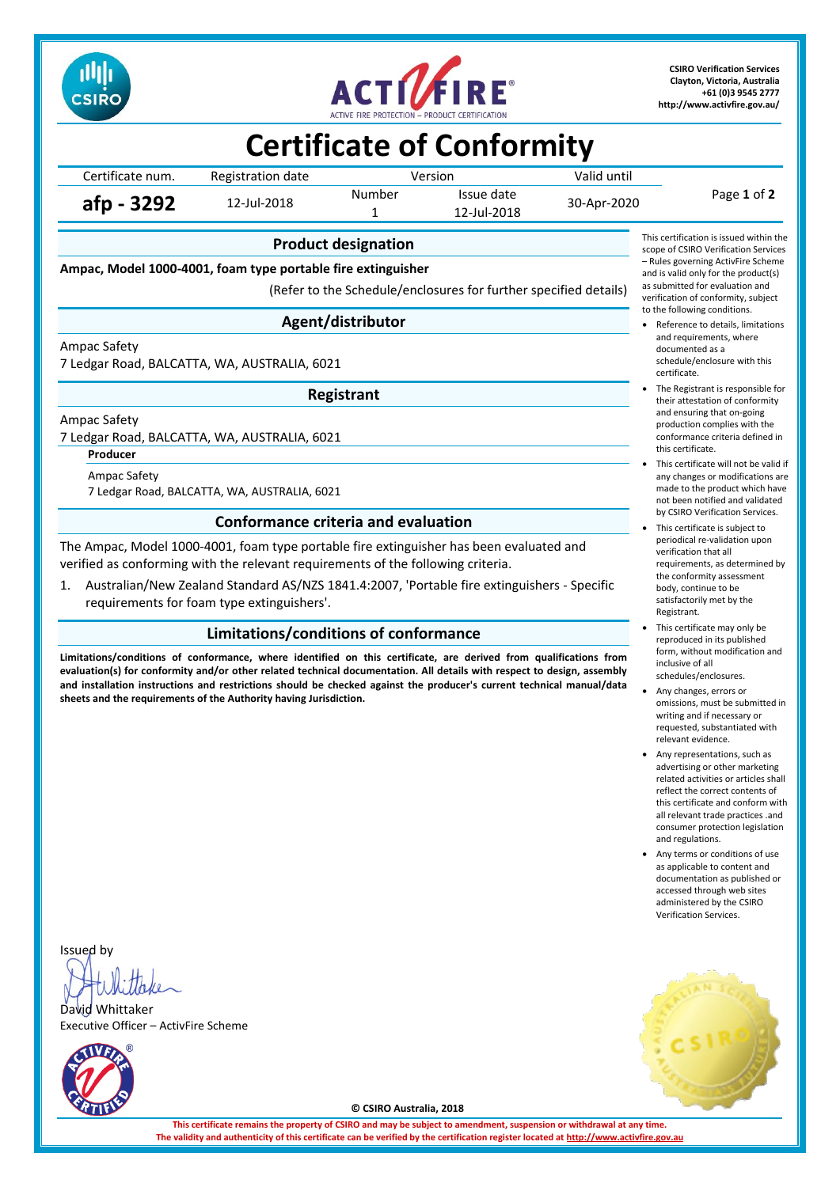



**CSIRO Verification Services Clayton, Victoria, Australia +61 (0)3 9545 2777 <http://www.activfire.gov.au/>**

# **Certificate of Conformity**

|                  |                   |         | __.  _ _ _ . _ _  _ .     |             |             |
|------------------|-------------------|---------|---------------------------|-------------|-------------|
| Certificate num. | Registration date | Version |                           | Valid until |             |
| afp - 3292       | 12-Jul-2018       | Number  | Issue date<br>12-Jul-2018 | 30-Apr-2020 | Page 1 of 2 |

**Product designation**

**Ampac, Model 1000-4001, foam type portable fire extinguisher**

(Refer to the Schedule/enclosures for further specified details)

### **Agent/distributor**

Ampac Safety

7 Ledgar Road, BALCATTA, WA, AUSTRALIA, 6021

**Registrant**

Ampac Safety

7 Ledgar Road, BALCATTA, WA, AUSTRALIA, 6021

**Producer**

Ampac Safety 7 Ledgar Road, BALCATTA, WA, AUSTRALIA, 6021

### **Conformance criteria and evaluation**

The Ampac, Model 1000-4001, foam type portable fire extinguisher has been evaluated and verified as conforming with the relevant requirements of the following criteria.

1. Australian/New Zealand Standard AS/NZS 1841.4:2007, 'Portable fire extinguishers - Specific requirements for foam type extinguishers'.

### **Limitations/conditions of conformance**

**Limitations/conditions of conformance, where identified on this certificate, are derived from qualifications from evaluation(s) for conformity and/or other related technical documentation. All details with respect to design, assembly and installation instructions and restrictions should be checked against the producer's current technical manual/data sheets and the requirements of the Authority having Jurisdiction.**



- Reference to details, limitations and requirements, where documented as a schedule/enclosure with this certificate.
- The Registrant is responsible for their attestation of conformity and ensuring that on-going production complies with the conformance criteria defined in this certificate.
- This certificate will not be valid if any changes or modifications are made to the product which have not been notified and validated by CSIRO Verification Services.
- This certificate is subject to periodical re-validation upon verification that all requirements, as determined by the conformity assessment body, continue to be satisfactorily met by the Registrant.
- This certificate may only be reproduced in its published form, without modification and inclusive of all schedules/enclosures.
- Any changes, errors or omissions, must be submitted in writing and if necessary or requested, substantiated with relevant evidence.
- Any representations, such as advertising or other marketing related activities or articles shall reflect the correct contents of this certificate and conform with all relevant trade practices .and consumer protection legislation and regulations.
- Any terms or conditions of use as applicable to content and documentation as published or accessed through web sites administered by the CSIRO Verification Services.

Issued by

David Whittaker Executive Officer – ActivFire Scheme





**© CSIRO Australia, 2018**

**This certificate remains the property of CSIRO and may be subject to amendment, suspension or withdrawal at any time.** The validity and authenticity of this certificate can be verified by the certification register located at http://www.activ